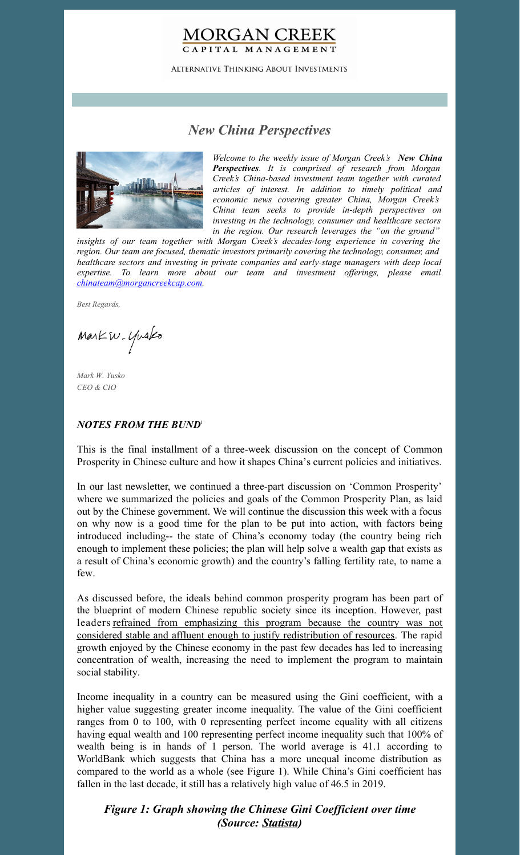## **MORGAN CREEK** CAPITAL MANAGEMENT

**ALTERNATIVE THINKING ABOUT INVESTMENTS** 

# *New China Perspectives*



*Welcome to the weekly issue of Morgan Creek's New China Perspectives. It is comprised of research from Morgan Creek's China-based investment team together with curated articles of interest. In addition to timely political and economic news covering greater China, Morgan Creek's China team seeks to provide in-depth perspectives on investing in the technology, consumer and healthcare sectors in the region. Our research leverages the "on the ground"*

*insights of our team together with Morgan Creek's decades-long experience in covering the region. Our team are focused, thematic investors primarily covering the technology, consumer, and healthcare sectors and investing in private companies and early-stage managers with deep local expertise. To learn more about our team and investment of erings, please email [chinateam@morgancreekcap.com](mailto:chinateam@morgancreekcap.com).*

*Best Regards,*

Markw. Yusko

*Mark W. Yusko CEO & CIO*

### *NOTES FROM THE BUND* 1

This is the final installment of a three-week discussion on the concept of Common Prosperity in Chinese culture and how it shapes China's current policies and initiatives.

In our last newsletter, we continued a three-part discussion on 'Common Prosperity' where we summarized the policies and goals of the Common Prosperity Plan, as laid out by the Chinese government. We will continue the discussion this week with a focus on why now is a good time for the plan to be put into action, with factors being introduced including-- the state of China's economy today (the country being rich enough to implement these policies; the plan will help solve a wealth gap that exists as a result of China's economic growth) and the country's falling fertility rate, to name a few.

As discussed before, the ideals behind common prosperity program has been part of the blueprint of modern Chinese republic society since its inception. However, past leaders refrained from emphasizing this program because the country was not considered stable and affluent enough to justify [redistribution](https://www.scmp.com/economy/china-economy/article/3145940/chinas-coming-era-common-prosperity-and-what-it-means-rich) of resources. The rapid growth enjoyed by the Chinese economy in the past few decades has led to increasing concentration of wealth, increasing the need to implement the program to maintain social stability.

Income inequality in a country can be measured using the Gini coefficient, with a higher value suggesting greater income inequality. The value of the Gini coefficient ranges from 0 to 100, with 0 representing perfect income equality with all citizens having equal wealth and 100 representing perfect income inequality such that 100% of wealth being is in hands of 1 person. The world average is 41.1 according to WorldBank which suggests that China has a more unequal income distribution as compared to the world as a whole (see Figure 1). While China's Gini coefficient has fallen in the last decade, it still has a relatively high value of 46.5 in 2019.

*Figure 1: Graph showing the Chinese Gini Coef icient over time (Source: [Statista](https://www.statista.com/statistics/250400/inequality-of-income-distribution-in-china-based-on-the-gini-index/))*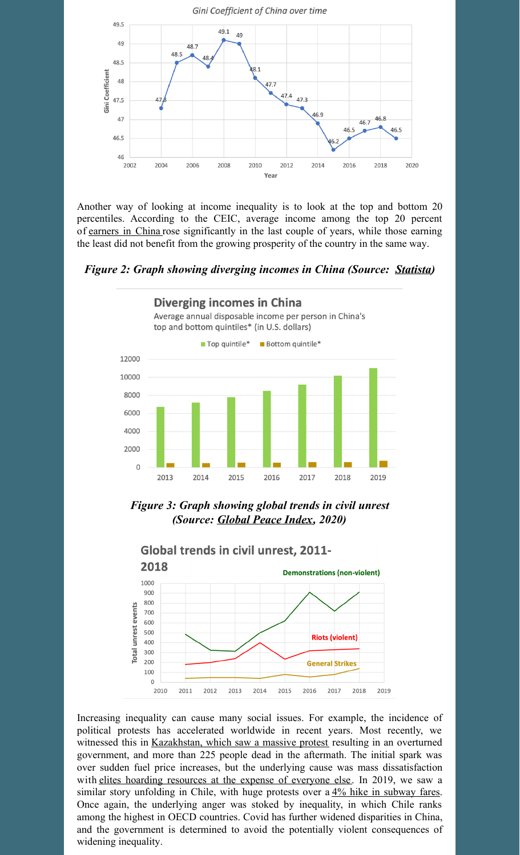

Another way of looking at income inequality is to look at the top and bottom 20 percentiles. According to the CEIC, average income among the top 20 percent of [earners](https://www.statista.com/topics/1317/employment-in-china/) in China rose significantly in the last couple of years, while those earning the least did not benefit from the growing prosperity of the country in the same way.

*Figure 2: Graph showing diverging incomes in China (Source: [Statista](https://www.statista.com/chart/22306/average-annual-disposable-income-top-bottom-quintile-china/))*



*Figure 3: Graph showing global trends in civil unrest (Source: [Global](https://www.visionofhumanity.org/wp-content/uploads/2020/10/GPI_2020_web.pdf) Peace Index, 2020)*



Increasing inequality can cause many social issues. For example, the incidence of political protests has accelerated worldwide in recent years. Most recently, we witnessed this in [Kazakhstan,](https://www.theguardian.com/world/2022/jan/16/kazakhstan-authorities-raise-death-toll-from-unrest-to-225) which saw a massive protest resulting in an overturned government, and more than 225 people dead in the aftermath. The initial spark was over sudden fuel price increases, but the underlying cause was mass dissatisfaction with elites hoarding [resources](https://www.theguardian.com/world/2022/jan/05/old-man-out-kazakhstan-discontent-to-change-leaders-legacy) at the expense of everyone else. In 2019, we saw a similar story unfolding in Chile, with huge protests over a  $4\frac{4}{6}$  hike in [subway](https://www.washingtonpost.com/politics/2019/11/01/chiles-streets-are-fire-with-protests-how-did-percent-fare-hike-set-off-such-rage/) fares. Once again, the underlying anger was stoked by inequality, in which Chile ranks among the highest in OECD countries. Covid has further widened disparities in China, and the government is determined to avoid the potentially violent consequences of widening inequality.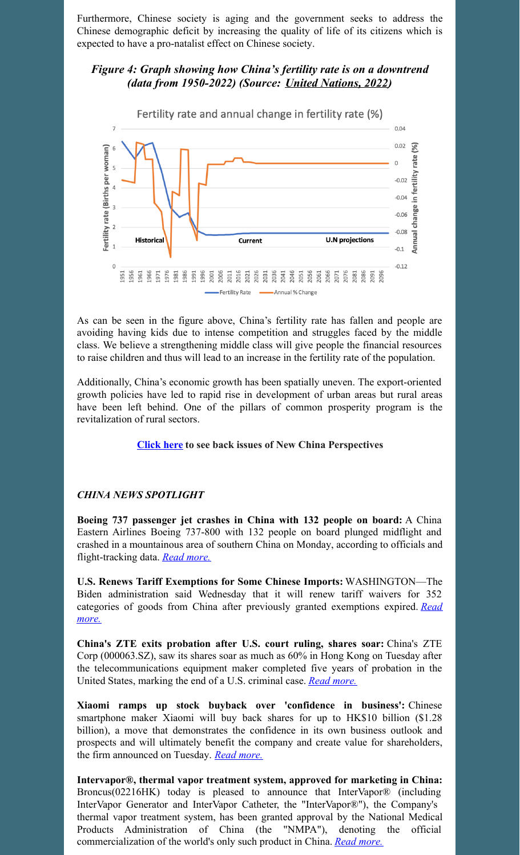Furthermore, Chinese society is aging and the government seeks to address the Chinese demographic deficit by increasing the quality of life of its citizens which is expected to have a pro-natalist effect on Chinese society.

## *Figure 4: Graph showing how China's fertility rate is on a downtrend (data from 1950-2022) (Source: United [Nations,](https://www.macrotrends.net/countries/CHN/china/fertility-rate) 2022)*



As can be seen in the figure above, China's fertility rate has fallen and people are avoiding having kids due to intense competition and struggles faced by the middle class. We believe a strengthening middle class will give people the financial resources to raise children and thus will lead to an increase in the fertility rate of the population.

Additionally, China's economic growth has been spatially uneven. The export-oriented growth policies have led to rapid rise in development of urban areas but rural areas have been left behind. One of the pillars of common prosperity program is the revitalization of rural sectors.

#### **[Click](https://www.morgancreekcap.com/market-commentary/#investment-process) here to see back issues of New China Perspectives**

## *CHINA NEWS SPOTLIGHT*

**Boeing 737 passenger jet crashes in China with 132 people on board:** A China Eastern Airlines Boeing 737-800 with 132 people on board plunged midflight and crashed in a mountainous area of southern China on Monday, according to officials and flight-tracking data. *Read [more.](https://www.cnbc.com/2022/03/21/china-plane-crash-china-eastern-airlines-boeing-737-crashes-132-people-on-board.html)*

**U.S. Renews Tariff Exemptions for Some Chinese Imports:** WASHINGTON—The Biden administration said Wednesday that it will renew tariff waivers for 352 categories of goods from China after previously granted [exemptions](https://www.wsj.com/articles/biden-administration-renews-tariff-exclusions-for-352-types-of-items-from-china-11648067465) expired. *Read more.*

**China's ZTE exits probation after U.S. court ruling, shares soar:** China's ZTE Corp (000063.SZ), saw its shares soar as much as 60% in Hong Kong on Tuesday after the telecommunications equipment maker completed five years of probation in the United States, marking the end of a U.S. criminal case. *Read [more.](https://www.reuters.com/business/media-telecom/us-judge-rules-favor-chinas-zte-ending-probation-2022-03-23/)*

**Xiaomi ramps up stock buyback over 'confidence in business':** Chinese smartphone maker Xiaomi will buy back shares for up to HK\$10 billion (\$1.28 billion), a move that demonstrates the confidence in its own business outlook and prospects and will ultimately benefit the company and create value for shareholders, the firm announced on Tuesday. *Read [more.](https://www.globaltimes.cn/page/202203/1256565.shtml)*

**Intervapor®, thermal vapor treatment system, approved for marketing in China:** Broncus(02216HK) today is pleased to announce that InterVapor® (including InterVapor Generator and InterVapor Catheter, the "InterVapor®"), the Company's thermal vapor treatment system, has been granted approval by the National Medical Products Administration of China (the "NMPA"), denoting the official commercialization of the world's only such product in China. *Read [more.](https://en.prnasia.com/releases/apac/intervapor-thermal-vapor-treatment-system-approved-for-marketing-in-china-355229.shtml)*